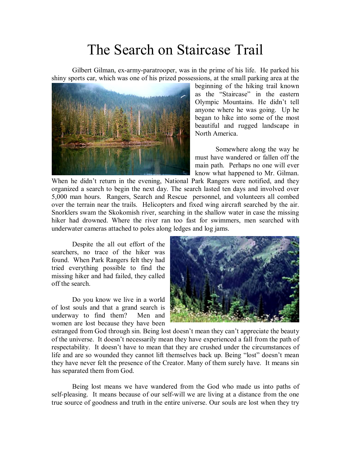## The Search on Staircase Trail

Gilbert Gilman, ex-army-paratrooper, was in the prime of his life. He parked his shiny sports car, which was one of his prized possessions, at the small parking area at the



beginning of the hiking trail known as the "Staircase" in the eastern Olympic Mountains. He didn't tell anyone where he was going. Up he began to hike into some of the most beautiful and rugged landscape in North America.

Somewhere along the way he must have wandered or fallen off the main path. Perhaps no one will ever know what happened to Mr. Gilman.

When he didn't return in the evening, National Park Rangers were notified, and they organized a search to begin the next day. The search lasted ten days and involved over 5,000 man hours. Rangers, Search and Rescue personnel, and volunteers all combed over the terrain near the trails. Helicopters and fixed wing aircraft searched by the air. Snorklers swam the Skokomish river, searching in the shallow water in case the missing hiker had drowned. Where the river ran too fast for swimmers, men searched with underwater cameras attached to poles along ledges and log jams.

Despite the all out effort of the searchers, no trace of the hiker was found. When Park Rangers felt they had tried everything possible to find the missing hiker and had failed, they called off the search.

Do you know we live in a world of lost souls and that a grand search is underway to find them? Men and women are lost because they have been



estranged from God through sin. Being lost doesn't mean they can't appreciate the beauty of the universe. It doesn't necessarily mean they have experienced a fall from the path of respectability. It doesn't have to mean that they are crushed under the circumstances of life and are so wounded they cannot lift themselves back up. Being "lost" doesn't mean they have never felt the presence of the Creator. Many of them surely have. It means sin has separated them from God.

Being lost means we have wandered from the God who made us into paths of self-pleasing. It means because of our self-will we are living at a distance from the one true source of goodness and truth in the entire universe. Our souls are lost when they try